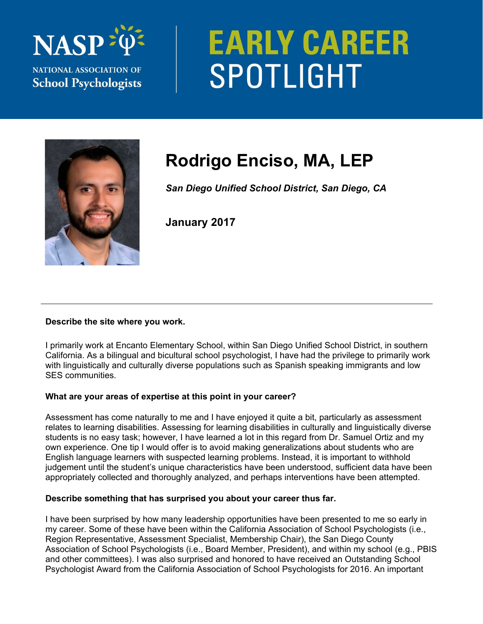

# **EARLY CAREER** SPOTLIGHT



# **Rodrigo Enciso, MA, LEP**

*San Diego Unified School District, San Diego, CA* 

**January 2017** 

## **Describe the site where you work.**

I primarily work at Encanto Elementary School, within San Diego Unified School District, in southern California. As a bilingual and bicultural school psychologist, I have had the privilege to primarily work with linguistically and culturally diverse populations such as Spanish speaking immigrants and low SES communities.

## **What are your areas of expertise at this point in your career?**

Assessment has come naturally to me and I have enjoyed it quite a bit, particularly as assessment relates to learning disabilities. Assessing for learning disabilities in culturally and linguistically diverse students is no easy task; however, I have learned a lot in this regard from Dr. Samuel Ortiz and my own experience. One tip I would offer is to avoid making generalizations about students who are English language learners with suspected learning problems. Instead, it is important to withhold judgement until the student's unique characteristics have been understood, sufficient data have been appropriately collected and thoroughly analyzed, and perhaps interventions have been attempted.

## **Describe something that has surprised you about your career thus far.**

I have been surprised by how many leadership opportunities have been presented to me so early in my career. Some of these have been within the California Association of School Psychologists (i.e., Region Representative, Assessment Specialist, Membership Chair), the San Diego County Association of School Psychologists (i.e., Board Member, President), and within my school (e.g., PBIS and other committees). I was also surprised and honored to have received an Outstanding School Psychologist Award from the California Association of School Psychologists for 2016. An important